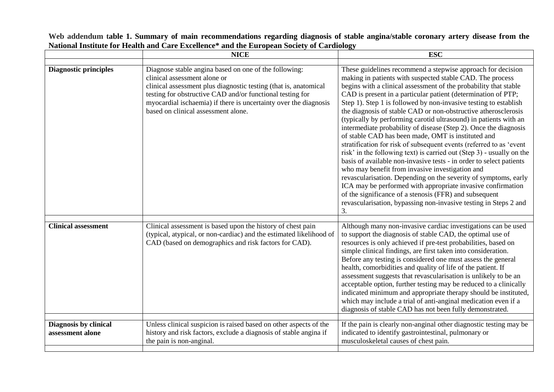## **Web addendum table 1. Summary of main recommendations regarding diagnosis of stable angina/stable coronary artery disease from the National Institute for Health and Care Excellence\* and the European Society of Cardiology**

|                                           | <b>NICE</b>                                                                                                                                                                                                                                                                                                                       | <b>ESC</b>                                                                                                                                                                                                                                                                                                                                                                                                                                                                                                                                                                                                                                                                                                                                                                                                                                                                                                                                                                                                                                                                                                                                        |
|-------------------------------------------|-----------------------------------------------------------------------------------------------------------------------------------------------------------------------------------------------------------------------------------------------------------------------------------------------------------------------------------|---------------------------------------------------------------------------------------------------------------------------------------------------------------------------------------------------------------------------------------------------------------------------------------------------------------------------------------------------------------------------------------------------------------------------------------------------------------------------------------------------------------------------------------------------------------------------------------------------------------------------------------------------------------------------------------------------------------------------------------------------------------------------------------------------------------------------------------------------------------------------------------------------------------------------------------------------------------------------------------------------------------------------------------------------------------------------------------------------------------------------------------------------|
| <b>Diagnostic principles</b>              | Diagnose stable angina based on one of the following:<br>clinical assessment alone or<br>clinical assessment plus diagnostic testing (that is, anatomical<br>testing for obstructive CAD and/or functional testing for<br>myocardial ischaemia) if there is uncertainty over the diagnosis<br>based on clinical assessment alone. | These guidelines recommend a stepwise approach for decision<br>making in patients with suspected stable CAD. The process<br>begins with a clinical assessment of the probability that stable<br>CAD is present in a particular patient (determination of PTP;<br>Step 1). Step 1 is followed by non-invasive testing to establish<br>the diagnosis of stable CAD or non-obstructive atherosclerosis<br>(typically by performing carotid ultrasound) in patients with an<br>intermediate probability of disease (Step 2). Once the diagnosis<br>of stable CAD has been made, OMT is instituted and<br>stratification for risk of subsequent events (referred to as 'event<br>risk' in the following text) is carried out (Step 3) - usually on the<br>basis of available non-invasive tests - in order to select patients<br>who may benefit from invasive investigation and<br>revascularisation. Depending on the severity of symptoms, early<br>ICA may be performed with appropriate invasive confirmation<br>of the significance of a stenosis (FFR) and subsequent<br>revascularisation, bypassing non-invasive testing in Steps 2 and<br>3. |
| <b>Clinical assessment</b>                | Clinical assessment is based upon the history of chest pain<br>(typical, atypical, or non-cardiac) and the estimated likelihood of<br>CAD (based on demographics and risk factors for CAD).                                                                                                                                       | Although many non-invasive cardiac investigations can be used<br>to support the diagnosis of stable CAD, the optimal use of<br>resources is only achieved if pre-test probabilities, based on<br>simple clinical findings, are first taken into consideration.<br>Before any testing is considered one must assess the general<br>health, comorbidities and quality of life of the patient. If<br>assessment suggests that revascularisation is unlikely to be an<br>acceptable option, further testing may be reduced to a clinically<br>indicated minimum and appropriate therapy should be instituted,<br>which may include a trial of anti-anginal medication even if a<br>diagnosis of stable CAD has not been fully demonstrated.                                                                                                                                                                                                                                                                                                                                                                                                           |
| Diagnosis by clinical<br>assessment alone | Unless clinical suspicion is raised based on other aspects of the<br>history and risk factors, exclude a diagnosis of stable angina if<br>the pain is non-anginal.                                                                                                                                                                | If the pain is clearly non-anginal other diagnostic testing may be<br>indicated to identify gastrointestinal, pulmonary or<br>musculoskeletal causes of chest pain.                                                                                                                                                                                                                                                                                                                                                                                                                                                                                                                                                                                                                                                                                                                                                                                                                                                                                                                                                                               |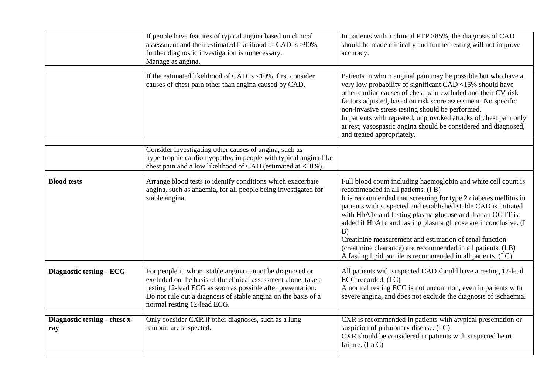|                                      | If people have features of typical angina based on clinical<br>assessment and their estimated likelihood of CAD is >90%,<br>further diagnostic investigation is unnecessary.<br>Manage as angina.                                                                                         | In patients with a clinical PTP $>85\%$ , the diagnosis of CAD<br>should be made clinically and further testing will not improve<br>accuracy.                                                                                                                                                                                                                                                                                                                                                                                                                                |
|--------------------------------------|-------------------------------------------------------------------------------------------------------------------------------------------------------------------------------------------------------------------------------------------------------------------------------------------|------------------------------------------------------------------------------------------------------------------------------------------------------------------------------------------------------------------------------------------------------------------------------------------------------------------------------------------------------------------------------------------------------------------------------------------------------------------------------------------------------------------------------------------------------------------------------|
|                                      | If the estimated likelihood of CAD is $\langle 10\%$ , first consider<br>causes of chest pain other than angina caused by CAD.                                                                                                                                                            | Patients in whom anginal pain may be possible but who have a<br>very low probability of significant CAD <15% should have<br>other cardiac causes of chest pain excluded and their CV risk<br>factors adjusted, based on risk score assessment. No specific<br>non-invasive stress testing should be performed.<br>In patients with repeated, unprovoked attacks of chest pain only<br>at rest, vasospastic angina should be considered and diagnosed,<br>and treated appropriately.                                                                                          |
|                                      | Consider investigating other causes of angina, such as<br>hypertrophic cardiomyopathy, in people with typical angina-like<br>chest pain and a low likelihood of CAD (estimated at <10%).                                                                                                  |                                                                                                                                                                                                                                                                                                                                                                                                                                                                                                                                                                              |
| <b>Blood tests</b>                   | Arrange blood tests to identify conditions which exacerbate<br>angina, such as anaemia, for all people being investigated for<br>stable angina.                                                                                                                                           | Full blood count including haemoglobin and white cell count is<br>recommended in all patients. (I B)<br>It is recommended that screening for type 2 diabetes mellitus in<br>patients with suspected and established stable CAD is initiated<br>with HbA1c and fasting plasma glucose and that an OGTT is<br>added if HbA1c and fasting plasma glucose are inconclusive. (I<br>B)<br>Creatinine measurement and estimation of renal function<br>(creatinine clearance) are recommended in all patients. (I B)<br>A fasting lipid profile is recommended in all patients. (IC) |
| <b>Diagnostic testing - ECG</b>      | For people in whom stable angina cannot be diagnosed or<br>excluded on the basis of the clinical assessment alone, take a<br>resting 12-lead ECG as soon as possible after presentation.<br>Do not rule out a diagnosis of stable angina on the basis of a<br>normal resting 12-lead ECG. | All patients with suspected CAD should have a resting 12-lead<br>ECG recorded. (IC)<br>A normal resting ECG is not uncommon, even in patients with<br>severe angina, and does not exclude the diagnosis of ischaemia.                                                                                                                                                                                                                                                                                                                                                        |
| Diagnostic testing - chest x-<br>ray | Only consider CXR if other diagnoses, such as a lung<br>tumour, are suspected.                                                                                                                                                                                                            | CXR is recommended in patients with atypical presentation or<br>suspicion of pulmonary disease. (IC)<br>CXR should be considered in patients with suspected heart<br>failure. (IIa C)                                                                                                                                                                                                                                                                                                                                                                                        |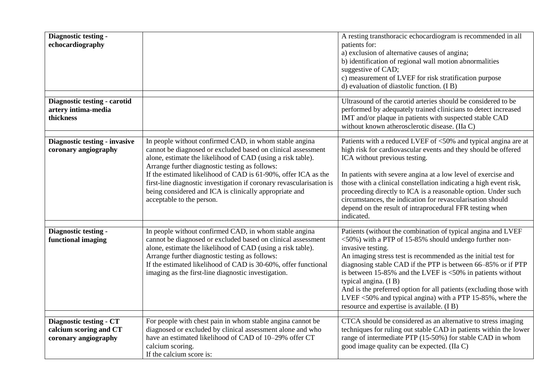| Diagnostic testing -<br>echocardiography                                         |                                                                                                                                                                                                                                                                                                                                                                                                                                                                          | A resting transthoracic echocardiogram is recommended in all<br>patients for:<br>a) exclusion of alternative causes of angina;<br>b) identification of regional wall motion abnormalities<br>suggestive of CAD;<br>c) measurement of LVEF for risk stratification purpose<br>d) evaluation of diastolic function. (IB)                                                                                                                                                                                                                                             |
|----------------------------------------------------------------------------------|--------------------------------------------------------------------------------------------------------------------------------------------------------------------------------------------------------------------------------------------------------------------------------------------------------------------------------------------------------------------------------------------------------------------------------------------------------------------------|--------------------------------------------------------------------------------------------------------------------------------------------------------------------------------------------------------------------------------------------------------------------------------------------------------------------------------------------------------------------------------------------------------------------------------------------------------------------------------------------------------------------------------------------------------------------|
| Diagnostic testing - carotid<br>artery intima-media<br>thickness                 |                                                                                                                                                                                                                                                                                                                                                                                                                                                                          | Ultrasound of the carotid arteries should be considered to be<br>performed by adequately trained clinicians to detect increased<br>IMT and/or plaque in patients with suspected stable CAD<br>without known atherosclerotic disease. (IIa C)                                                                                                                                                                                                                                                                                                                       |
| Diagnostic testing - invasive<br>coronary angiography                            | In people without confirmed CAD, in whom stable angina<br>cannot be diagnosed or excluded based on clinical assessment<br>alone, estimate the likelihood of CAD (using a risk table).<br>Arrange further diagnostic testing as follows:<br>If the estimated likelihood of CAD is 61-90%, offer ICA as the<br>first-line diagnostic investigation if coronary revascularisation is<br>being considered and ICA is clinically appropriate and<br>acceptable to the person. | Patients with a reduced LVEF of <50% and typical angina are at<br>high risk for cardiovascular events and they should be offered<br>ICA without previous testing.<br>In patients with severe angina at a low level of exercise and<br>those with a clinical constellation indicating a high event risk,<br>proceeding directly to ICA is a reasonable option. Under such<br>circumstances, the indication for revascularisation should<br>depend on the result of intraprocedural FFR testing when<br>indicated.                                                   |
| Diagnostic testing -<br>functional imaging                                       | In people without confirmed CAD, in whom stable angina<br>cannot be diagnosed or excluded based on clinical assessment<br>alone, estimate the likelihood of CAD (using a risk table).<br>Arrange further diagnostic testing as follows:<br>If the estimated likelihood of CAD is 30-60%, offer functional<br>imaging as the first-line diagnostic investigation.                                                                                                         | Patients (without the combination of typical angina and LVEF<br><50%) with a PTP of 15-85% should undergo further non-<br>invasive testing.<br>An imaging stress test is recommended as the initial test for<br>diagnosing stable CAD if the PTP is between 66-85% or if PTP<br>is between $15{\text -}85\%$ and the LVEF is $<50\%$ in patients without<br>typical angina. (IB)<br>And is the preferred option for all patients (excluding those with<br>LVEF <50% and typical angina) with a PTP 15-85%, where the<br>resource and expertise is available. (I B) |
| <b>Diagnostic testing - CT</b><br>calcium scoring and CT<br>coronary angiography | For people with chest pain in whom stable angina cannot be<br>diagnosed or excluded by clinical assessment alone and who<br>have an estimated likelihood of CAD of 10-29% offer CT<br>calcium scoring.<br>If the calcium score is:                                                                                                                                                                                                                                       | CTCA should be considered as an alternative to stress imaging<br>techniques for ruling out stable CAD in patients within the lower<br>range of intermediate PTP (15-50%) for stable CAD in whom<br>good image quality can be expected. (IIa C)                                                                                                                                                                                                                                                                                                                     |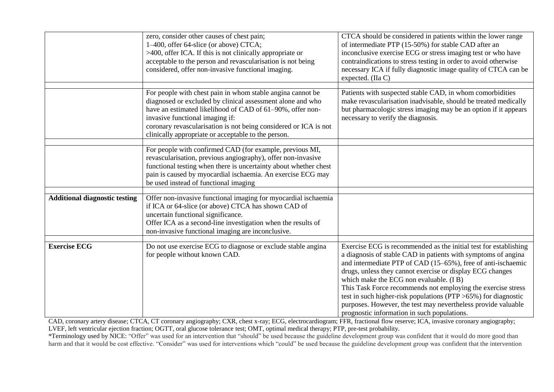|                                      | zero, consider other causes of chest pain;<br>1–400, offer 64-slice (or above) CTCA;<br>$>400$ , offer ICA. If this is not clinically appropriate or<br>acceptable to the person and revascularisation is not being<br>considered, offer non-invasive functional imaging.                                                                           | CTCA should be considered in patients within the lower range<br>of intermediate PTP (15-50%) for stable CAD after an<br>inconclusive exercise ECG or stress imaging test or who have<br>contraindications to stress testing in order to avoid otherwise<br>necessary ICA if fully diagnostic image quality of CTCA can be<br>expected. (IIa C)                                                                                                                                                                                                                    |
|--------------------------------------|-----------------------------------------------------------------------------------------------------------------------------------------------------------------------------------------------------------------------------------------------------------------------------------------------------------------------------------------------------|-------------------------------------------------------------------------------------------------------------------------------------------------------------------------------------------------------------------------------------------------------------------------------------------------------------------------------------------------------------------------------------------------------------------------------------------------------------------------------------------------------------------------------------------------------------------|
|                                      | For people with chest pain in whom stable angina cannot be<br>diagnosed or excluded by clinical assessment alone and who<br>have an estimated likelihood of CAD of 61-90%, offer non-<br>invasive functional imaging if:<br>coronary revascularisation is not being considered or ICA is not<br>clinically appropriate or acceptable to the person. | Patients with suspected stable CAD, in whom comorbidities<br>make revascularisation inadvisable, should be treated medically<br>but pharmacologic stress imaging may be an option if it appears<br>necessary to verify the diagnosis.                                                                                                                                                                                                                                                                                                                             |
|                                      | For people with confirmed CAD (for example, previous MI,<br>revascularisation, previous angiography), offer non-invasive<br>functional testing when there is uncertainty about whether chest<br>pain is caused by myocardial ischaemia. An exercise ECG may<br>be used instead of functional imaging                                                |                                                                                                                                                                                                                                                                                                                                                                                                                                                                                                                                                                   |
| <b>Additional diagnostic testing</b> | Offer non-invasive functional imaging for myocardial ischaemia<br>if ICA or 64-slice (or above) CTCA has shown CAD of<br>uncertain functional significance.<br>Offer ICA as a second-line investigation when the results of<br>non-invasive functional imaging are inconclusive.                                                                    |                                                                                                                                                                                                                                                                                                                                                                                                                                                                                                                                                                   |
| <b>Exercise ECG</b>                  | Do not use exercise ECG to diagnose or exclude stable angina<br>for people without known CAD.                                                                                                                                                                                                                                                       | Exercise ECG is recommended as the initial test for establishing<br>a diagnosis of stable CAD in patients with symptoms of angina<br>and intermediate PTP of CAD (15–65%), free of anti-ischaemic<br>drugs, unless they cannot exercise or display ECG changes<br>which make the ECG non evaluable. (I B)<br>This Task Force recommends not employing the exercise stress<br>test in such higher-risk populations ( $PTP > 65\%$ ) for diagnostic<br>purposes. However, the test may nevertheless provide valuable<br>prognostic information in such populations. |

CAD, coronary artery disease; CTCA, CT coronary angiography; CXR, chest x-ray; ECG, electrocardiogram; FFR, fractional flow reserve; ICA, invasive coronary angiography; LVEF, left ventricular ejection fraction; OGTT, oral glucose tolerance test; OMT, optimal medical therapy; PTP, pre-test probability.

\*Terminology used by NICE: "Offer" was used for an intervention that "should" be used because the guideline development group was confident that it would do more good than harm and that it would be cost effective. "Consider" was used for interventions which "could" be used because the guideline development group was confident that the intervention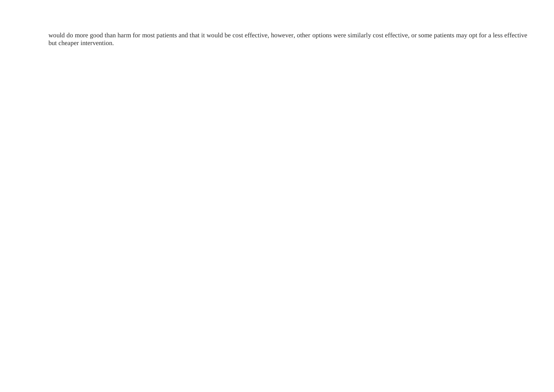would do more good than harm for most patients and that it would be cost effective, however, other options were similarly cost effective, or some patients may opt for a less effective but cheaper intervention.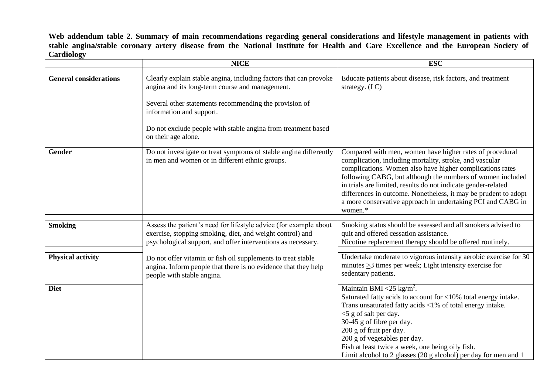**Web addendum table 2. Summary of main recommendations regarding general considerations and lifestyle management in patients with stable angina/stable coronary artery disease from the National Institute for Health and Care Excellence and the European Society of Cardiology**

|                               | <b>NICE</b>                                                                                                                                                                                                                                                                                        | <b>ESC</b>                                                                                                                                                                                                                                                                                                                                                                                                                                                   |
|-------------------------------|----------------------------------------------------------------------------------------------------------------------------------------------------------------------------------------------------------------------------------------------------------------------------------------------------|--------------------------------------------------------------------------------------------------------------------------------------------------------------------------------------------------------------------------------------------------------------------------------------------------------------------------------------------------------------------------------------------------------------------------------------------------------------|
| <b>General considerations</b> | Clearly explain stable angina, including factors that can provoke<br>angina and its long-term course and management.<br>Several other statements recommending the provision of<br>information and support.<br>Do not exclude people with stable angina from treatment based<br>on their age alone. | Educate patients about disease, risk factors, and treatment<br>strategy. $(IC)$                                                                                                                                                                                                                                                                                                                                                                              |
| Gender                        | Do not investigate or treat symptoms of stable angina differently<br>in men and women or in different ethnic groups.                                                                                                                                                                               | Compared with men, women have higher rates of procedural<br>complication, including mortality, stroke, and vascular<br>complications. Women also have higher complications rates<br>following CABG, but although the numbers of women included<br>in trials are limited, results do not indicate gender-related<br>differences in outcome. Nonetheless, it may be prudent to adopt<br>a more conservative approach in undertaking PCI and CABG in<br>women.* |
| <b>Smoking</b>                | Assess the patient's need for lifestyle advice (for example about<br>exercise, stopping smoking, diet, and weight control) and<br>psychological support, and offer interventions as necessary.                                                                                                     | Smoking status should be assessed and all smokers advised to<br>quit and offered cessation assistance.<br>Nicotine replacement therapy should be offered routinely.                                                                                                                                                                                                                                                                                          |
| <b>Physical activity</b>      | Do not offer vitamin or fish oil supplements to treat stable<br>angina. Inform people that there is no evidence that they help<br>people with stable angina.                                                                                                                                       | Undertake moderate to vigorous intensity aerobic exercise for 30<br>minutes $\geq$ 3 times per week; Light intensity exercise for<br>sedentary patients.                                                                                                                                                                                                                                                                                                     |
| <b>Diet</b>                   |                                                                                                                                                                                                                                                                                                    | Maintain BMI <25 kg/m <sup>2</sup> .<br>Saturated fatty acids to account for <10% total energy intake.<br>Trans unsaturated fatty acids <1% of total energy intake.<br><5 g of salt per day.<br>30-45 g of fibre per day.<br>200 g of fruit per day.<br>200 g of vegetables per day.<br>Fish at least twice a week, one being oily fish.<br>Limit alcohol to 2 glasses $(20 \text{ g alcohol})$ per day for men and 1                                        |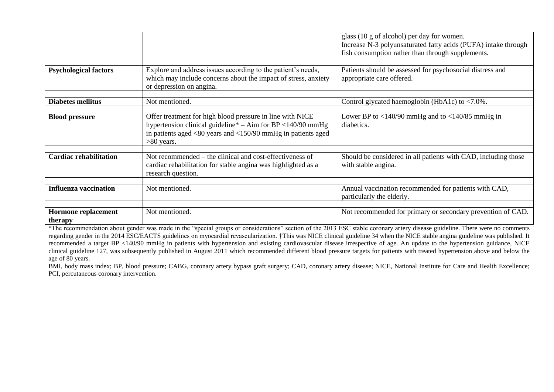|                                |                                                                                                                                                                                                               | glass (10 g of alcohol) per day for women.<br>Increase N-3 polyunsaturated fatty acids (PUFA) intake through<br>fish consumption rather than through supplements. |
|--------------------------------|---------------------------------------------------------------------------------------------------------------------------------------------------------------------------------------------------------------|-------------------------------------------------------------------------------------------------------------------------------------------------------------------|
| <b>Psychological factors</b>   | Explore and address issues according to the patient's needs,<br>which may include concerns about the impact of stress, anxiety<br>or depression on angina.                                                    | Patients should be assessed for psychosocial distress and<br>appropriate care offered.                                                                            |
| <b>Diabetes mellitus</b>       | Not mentioned.                                                                                                                                                                                                | Control glycated haemoglobin (HbA1c) to $\langle 7.0\% \rangle$ .                                                                                                 |
| <b>Blood pressure</b>          | Offer treatment for high blood pressure in line with NICE<br>hypertension clinical guideline* - Aim for BP <140/90 mmHg<br>in patients aged $<$ 80 years and $<$ 150/90 mmHg in patients aged<br>$>80$ years. | Lower BP to $\langle 140/90 \text{ mmHg}$ and to $\langle 140/85 \text{ mmHg} \rangle$ in<br>diabetics.                                                           |
| <b>Cardiac rehabilitation</b>  | Not recommended – the clinical and cost-effectiveness of<br>cardiac rehabilitation for stable angina was highlighted as a<br>research question.                                                               | Should be considered in all patients with CAD, including those<br>with stable angina.                                                                             |
| <b>Influenza vaccination</b>   | Not mentioned.                                                                                                                                                                                                | Annual vaccination recommended for patients with CAD,<br>particularly the elderly.                                                                                |
| Hormone replacement<br>therapy | Not mentioned.                                                                                                                                                                                                | Not recommended for primary or secondary prevention of CAD.                                                                                                       |

\*The recommendation about gender was made in the "special groups or considerations" section of the 2013 ESC stable coronary artery disease guideline. There were no comments regarding gender in the 2014 ESC/EACTS guidelines on myocardial revascularization. †This was NICE clinical guideline 34 when the NICE stable angina guideline was published. It recommended a target BP <140/90 mmHg in patients with hypertension and existing cardiovascular disease irrespective of age. An update to the hypertension guidance, NICE clinical guideline 127, was subsequently published in August 2011 which recommended different blood pressure targets for patients with treated hypertension above and below the age of 80 years.

BMI, body mass index; BP, blood pressure; CABG, coronary artery bypass graft surgery; CAD, coronary artery disease; NICE, National Institute for Care and Health Excellence; PCI, percutaneous coronary intervention.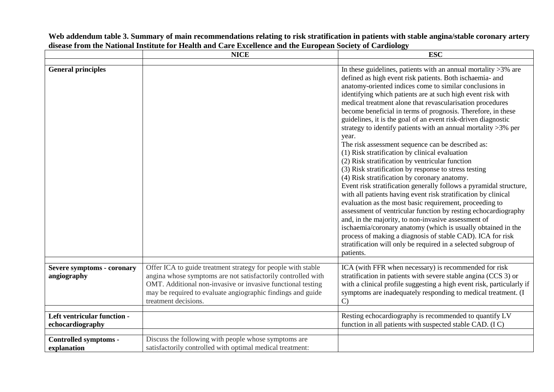|                                                  | <b>NICE</b>                                                                                                                                                                                                                                                                        | <b>ESC</b>                                                                                                                                                                                                                                                                                                                                                                                                                                                                                                                                                                                                                                                                                                                                                                                                                                                                                                                                                                                                                                                                                                                                                                                                                                                                                                                                   |
|--------------------------------------------------|------------------------------------------------------------------------------------------------------------------------------------------------------------------------------------------------------------------------------------------------------------------------------------|----------------------------------------------------------------------------------------------------------------------------------------------------------------------------------------------------------------------------------------------------------------------------------------------------------------------------------------------------------------------------------------------------------------------------------------------------------------------------------------------------------------------------------------------------------------------------------------------------------------------------------------------------------------------------------------------------------------------------------------------------------------------------------------------------------------------------------------------------------------------------------------------------------------------------------------------------------------------------------------------------------------------------------------------------------------------------------------------------------------------------------------------------------------------------------------------------------------------------------------------------------------------------------------------------------------------------------------------|
|                                                  |                                                                                                                                                                                                                                                                                    |                                                                                                                                                                                                                                                                                                                                                                                                                                                                                                                                                                                                                                                                                                                                                                                                                                                                                                                                                                                                                                                                                                                                                                                                                                                                                                                                              |
| <b>General principles</b>                        |                                                                                                                                                                                                                                                                                    | In these guidelines, patients with an annual mortality $>3\%$ are<br>defined as high event risk patients. Both ischaemia- and<br>anatomy-oriented indices come to similar conclusions in<br>identifying which patients are at such high event risk with<br>medical treatment alone that revascularisation procedures<br>become beneficial in terms of prognosis. Therefore, in these<br>guidelines, it is the goal of an event risk-driven diagnostic<br>strategy to identify patients with an annual mortality >3% per<br>year.<br>The risk assessment sequence can be described as:<br>(1) Risk stratification by clinical evaluation<br>(2) Risk stratification by ventricular function<br>(3) Risk stratification by response to stress testing<br>(4) Risk stratification by coronary anatomy.<br>Event risk stratification generally follows a pyramidal structure,<br>with all patients having event risk stratification by clinical<br>evaluation as the most basic requirement, proceeding to<br>assessment of ventricular function by resting echocardiography<br>and, in the majority, to non-invasive assessment of<br>ischaemia/coronary anatomy (which is usually obtained in the<br>process of making a diagnosis of stable CAD). ICA for risk<br>stratification will only be required in a selected subgroup of<br>patients. |
| <b>Severe symptoms - coronary</b><br>angiography | Offer ICA to guide treatment strategy for people with stable<br>angina whose symptoms are not satisfactorily controlled with<br>OMT. Additional non-invasive or invasive functional testing<br>may be required to evaluate angiographic findings and guide<br>treatment decisions. | ICA (with FFR when necessary) is recommended for risk<br>stratification in patients with severe stable angina (CCS 3) or<br>with a clinical profile suggesting a high event risk, particularly if<br>symptoms are inadequately responding to medical treatment. (I<br>$\mathbf{C}$                                                                                                                                                                                                                                                                                                                                                                                                                                                                                                                                                                                                                                                                                                                                                                                                                                                                                                                                                                                                                                                           |
| Left ventricular function -<br>echocardiography  |                                                                                                                                                                                                                                                                                    | Resting echocardiography is recommended to quantify LV<br>function in all patients with suspected stable CAD. (IC)                                                                                                                                                                                                                                                                                                                                                                                                                                                                                                                                                                                                                                                                                                                                                                                                                                                                                                                                                                                                                                                                                                                                                                                                                           |
|                                                  | Discuss the following with people whose symptoms are                                                                                                                                                                                                                               |                                                                                                                                                                                                                                                                                                                                                                                                                                                                                                                                                                                                                                                                                                                                                                                                                                                                                                                                                                                                                                                                                                                                                                                                                                                                                                                                              |
| Controlled symptoms -<br>explanation             | satisfactorily controlled with optimal medical treatment:                                                                                                                                                                                                                          |                                                                                                                                                                                                                                                                                                                                                                                                                                                                                                                                                                                                                                                                                                                                                                                                                                                                                                                                                                                                                                                                                                                                                                                                                                                                                                                                              |

**Web addendum table 3. Summary of main recommendations relating to risk stratification in patients with stable angina/stable coronary artery disease from the National Institute for Health and Care Excellence and the European Society of Cardiology**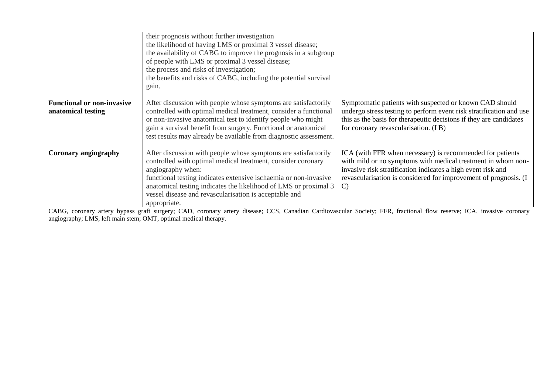|                                                         | their prognosis without further investigation<br>the likelihood of having LMS or proximal 3 vessel disease;<br>the availability of CABG to improve the prognosis in a subgroup<br>of people with LMS or proximal 3 vessel disease;<br>the process and risks of investigation;<br>the benefits and risks of CABG, including the potential survival<br>gain.            |                                                                                                                                                                                                                                                                               |
|---------------------------------------------------------|-----------------------------------------------------------------------------------------------------------------------------------------------------------------------------------------------------------------------------------------------------------------------------------------------------------------------------------------------------------------------|-------------------------------------------------------------------------------------------------------------------------------------------------------------------------------------------------------------------------------------------------------------------------------|
| <b>Functional or non-invasive</b><br>anatomical testing | After discussion with people whose symptoms are satisfactorily<br>controlled with optimal medical treatment, consider a functional<br>or non-invasive anatomical test to identify people who might<br>gain a survival benefit from surgery. Functional or anatomical<br>test results may already be available from diagnostic assessment.                             | Symptomatic patients with suspected or known CAD should<br>undergo stress testing to perform event risk stratification and use<br>this as the basis for therapeutic decisions if they are candidates<br>for coronary revascularisation. (IB)                                  |
| Coronary angiography                                    | After discussion with people whose symptoms are satisfactorily<br>controlled with optimal medical treatment, consider coronary<br>angiography when:<br>functional testing indicates extensive ischaemia or non-invasive<br>anatomical testing indicates the likelihood of LMS or proximal 3<br>vessel disease and revascularisation is acceptable and<br>appropriate. | ICA (with FFR when necessary) is recommended for patients<br>with mild or no symptoms with medical treatment in whom non-<br>invasive risk stratification indicates a high event risk and<br>revascularisation is considered for improvement of prognosis. (I<br>$\mathbf{C}$ |

CABG, coronary artery bypass graft surgery; CAD, coronary artery disease; CCS, Canadian Cardiovascular Society; FFR, fractional flow reserve; ICA, invasive coronary angiography; LMS, left main stem; OMT, optimal medical therapy.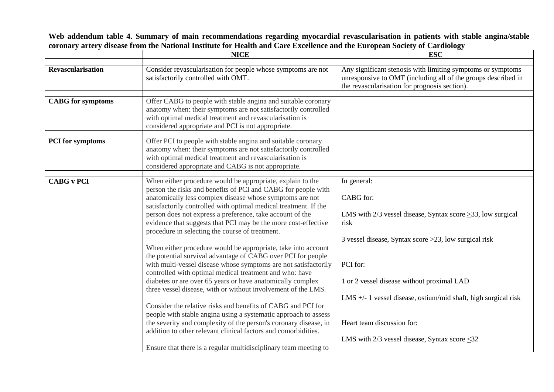**Web addendum table 4. Summary of main recommendations regarding myocardial revascularisation in patients with stable angina/stable coronary artery disease from the National Institute for Health and Care Excellence and the European Society of Cardiology**

|                          | <b>NICE</b>                                                                                                                                                                                                                                                                                                                                                                                                                                                                                                                                                                                                                                                                                                                                                                                                                                                                                                                                                                                                                                                                                                                                                                              | <b>ESC</b>                                                                                                                                                                                                                                                                                                                                                                                |
|--------------------------|------------------------------------------------------------------------------------------------------------------------------------------------------------------------------------------------------------------------------------------------------------------------------------------------------------------------------------------------------------------------------------------------------------------------------------------------------------------------------------------------------------------------------------------------------------------------------------------------------------------------------------------------------------------------------------------------------------------------------------------------------------------------------------------------------------------------------------------------------------------------------------------------------------------------------------------------------------------------------------------------------------------------------------------------------------------------------------------------------------------------------------------------------------------------------------------|-------------------------------------------------------------------------------------------------------------------------------------------------------------------------------------------------------------------------------------------------------------------------------------------------------------------------------------------------------------------------------------------|
|                          |                                                                                                                                                                                                                                                                                                                                                                                                                                                                                                                                                                                                                                                                                                                                                                                                                                                                                                                                                                                                                                                                                                                                                                                          |                                                                                                                                                                                                                                                                                                                                                                                           |
| <b>Revascularisation</b> | Consider revascularisation for people whose symptoms are not<br>satisfactorily controlled with OMT.                                                                                                                                                                                                                                                                                                                                                                                                                                                                                                                                                                                                                                                                                                                                                                                                                                                                                                                                                                                                                                                                                      | Any significant stenosis with limiting symptoms or symptoms<br>unresponsive to OMT (including all of the groups described in<br>the revascularisation for prognosis section).                                                                                                                                                                                                             |
|                          |                                                                                                                                                                                                                                                                                                                                                                                                                                                                                                                                                                                                                                                                                                                                                                                                                                                                                                                                                                                                                                                                                                                                                                                          |                                                                                                                                                                                                                                                                                                                                                                                           |
| <b>CABG</b> for symptoms | Offer CABG to people with stable angina and suitable coronary<br>anatomy when: their symptoms are not satisfactorily controlled<br>with optimal medical treatment and revascularisation is<br>considered appropriate and PCI is not appropriate.                                                                                                                                                                                                                                                                                                                                                                                                                                                                                                                                                                                                                                                                                                                                                                                                                                                                                                                                         |                                                                                                                                                                                                                                                                                                                                                                                           |
| <b>PCI</b> for symptoms  | Offer PCI to people with stable angina and suitable coronary                                                                                                                                                                                                                                                                                                                                                                                                                                                                                                                                                                                                                                                                                                                                                                                                                                                                                                                                                                                                                                                                                                                             |                                                                                                                                                                                                                                                                                                                                                                                           |
|                          | anatomy when: their symptoms are not satisfactorily controlled<br>with optimal medical treatment and revascularisation is<br>considered appropriate and CABG is not appropriate.                                                                                                                                                                                                                                                                                                                                                                                                                                                                                                                                                                                                                                                                                                                                                                                                                                                                                                                                                                                                         |                                                                                                                                                                                                                                                                                                                                                                                           |
|                          |                                                                                                                                                                                                                                                                                                                                                                                                                                                                                                                                                                                                                                                                                                                                                                                                                                                                                                                                                                                                                                                                                                                                                                                          |                                                                                                                                                                                                                                                                                                                                                                                           |
| <b>CABG v PCI</b>        | When either procedure would be appropriate, explain to the<br>person the risks and benefits of PCI and CABG for people with<br>anatomically less complex disease whose symptoms are not<br>satisfactorily controlled with optimal medical treatment. If the<br>person does not express a preference, take account of the<br>evidence that suggests that PCI may be the more cost-effective<br>procedure in selecting the course of treatment.<br>When either procedure would be appropriate, take into account<br>the potential survival advantage of CABG over PCI for people<br>with multi-vessel disease whose symptoms are not satisfactorily<br>controlled with optimal medical treatment and who: have<br>diabetes or are over 65 years or have anatomically complex<br>three vessel disease, with or without involvement of the LMS.<br>Consider the relative risks and benefits of CABG and PCI for<br>people with stable angina using a systematic approach to assess<br>the severity and complexity of the person's coronary disease, in<br>addition to other relevant clinical factors and comorbidities.<br>Ensure that there is a regular multidisciplinary team meeting to | In general:<br>CABG for:<br>LMS with $2/3$ vessel disease, Syntax score $\geq 33$ , low surgical<br>risk<br>3 vessel disease, Syntax score $>23$ , low surgical risk<br>PCI for:<br>1 or 2 vessel disease without proximal LAD<br>LMS $+/- 1$ vessel disease, ostium/mid shaft, high surgical risk<br>Heart team discussion for:<br>LMS with $2/3$ vessel disease, Syntax score $\leq 32$ |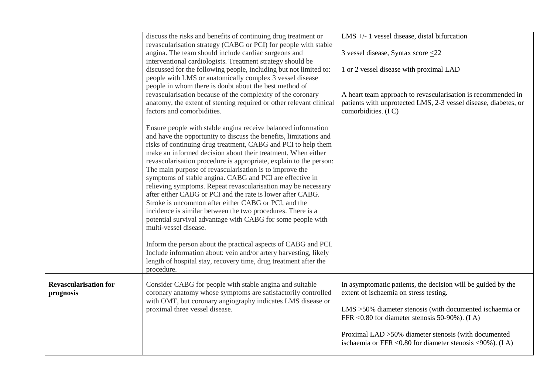|                                           | discuss the risks and benefits of continuing drug treatment or<br>revascularisation strategy (CABG or PCI) for people with stable<br>angina. The team should include cardiac surgeons and<br>interventional cardiologists. Treatment strategy should be<br>discussed for the following people, including but not limited to:<br>people with LMS or anatomically complex 3 vessel disease<br>people in whom there is doubt about the best method of<br>revascularisation because of the complexity of the coronary<br>anatomy, the extent of stenting required or other relevant clinical<br>factors and comorbidities.                                                                                                                                                                                         | LMS $+/- 1$ vessel disease, distal bifurcation<br>3 vessel disease, Syntax score $\leq$ 22<br>1 or 2 vessel disease with proximal LAD<br>A heart team approach to revascularisation is recommended in<br>patients with unprotected LMS, 2-3 vessel disease, diabetes, or<br>comorbidities. (IC)                                                            |
|-------------------------------------------|----------------------------------------------------------------------------------------------------------------------------------------------------------------------------------------------------------------------------------------------------------------------------------------------------------------------------------------------------------------------------------------------------------------------------------------------------------------------------------------------------------------------------------------------------------------------------------------------------------------------------------------------------------------------------------------------------------------------------------------------------------------------------------------------------------------|------------------------------------------------------------------------------------------------------------------------------------------------------------------------------------------------------------------------------------------------------------------------------------------------------------------------------------------------------------|
|                                           | Ensure people with stable angina receive balanced information<br>and have the opportunity to discuss the benefits, limitations and<br>risks of continuing drug treatment, CABG and PCI to help them<br>make an informed decision about their treatment. When either<br>revascularisation procedure is appropriate, explain to the person:<br>The main purpose of revascularisation is to improve the<br>symptoms of stable angina. CABG and PCI are effective in<br>relieving symptoms. Repeat revascularisation may be necessary<br>after either CABG or PCI and the rate is lower after CABG.<br>Stroke is uncommon after either CABG or PCI, and the<br>incidence is similar between the two procedures. There is a<br>potential survival advantage with CABG for some people with<br>multi-vessel disease. |                                                                                                                                                                                                                                                                                                                                                            |
|                                           | Inform the person about the practical aspects of CABG and PCI.<br>Include information about: vein and/or artery harvesting, likely<br>length of hospital stay, recovery time, drug treatment after the<br>procedure.                                                                                                                                                                                                                                                                                                                                                                                                                                                                                                                                                                                           |                                                                                                                                                                                                                                                                                                                                                            |
| <b>Revascularisation for</b><br>prognosis | Consider CABG for people with stable angina and suitable<br>coronary anatomy whose symptoms are satisfactorily controlled<br>with OMT, but coronary angiography indicates LMS disease or<br>proximal three vessel disease.                                                                                                                                                                                                                                                                                                                                                                                                                                                                                                                                                                                     | In asymptomatic patients, the decision will be guided by the<br>extent of ischaemia on stress testing.<br>$LMS > 50\%$ diameter stenosis (with documented ischaemia or<br>FFR $\leq$ 0.80 for diameter stenosis 50-90%). (I A)<br>Proximal LAD > 50% diameter stenosis (with documented<br>ischaemia or FFR $\leq$ 0.80 for diameter stenosis <90%). (I A) |